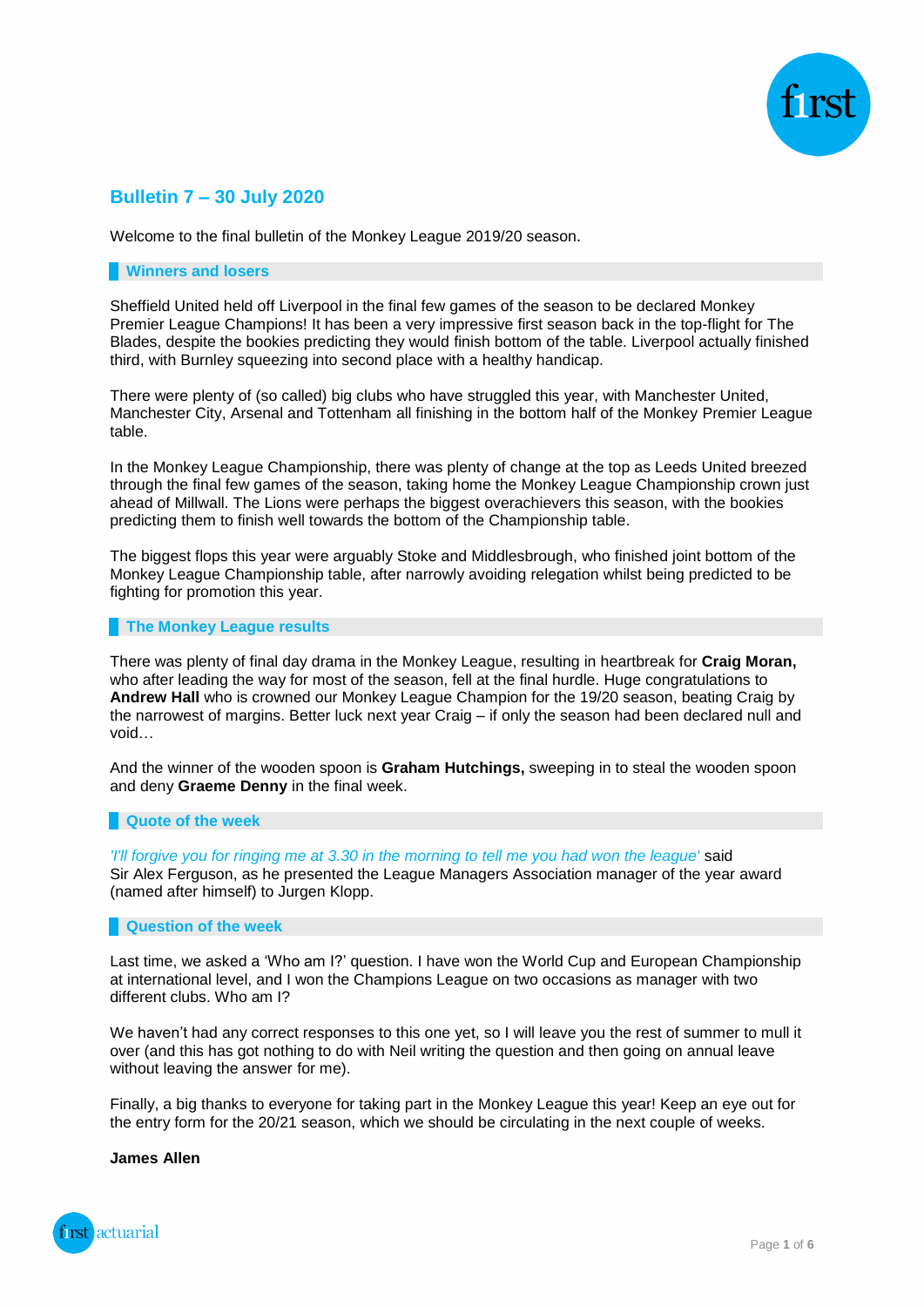

## **Bulletin 7 – 30 July 2020**

Welcome to the final bulletin of the Monkey League 2019/20 season.

#### **Winners and losers**

Sheffield United held off Liverpool in the final few games of the season to be declared Monkey Premier League Champions! It has been a very impressive first season back in the top-flight for The Blades, despite the bookies predicting they would finish bottom of the table. Liverpool actually finished third, with Burnley squeezing into second place with a healthy handicap.

There were plenty of (so called) big clubs who have struggled this year, with Manchester United, Manchester City, Arsenal and Tottenham all finishing in the bottom half of the Monkey Premier League table.

In the Monkey League Championship, there was plenty of change at the top as Leeds United breezed through the final few games of the season, taking home the Monkey League Championship crown just ahead of Millwall. The Lions were perhaps the biggest overachievers this season, with the bookies predicting them to finish well towards the bottom of the Championship table.

The biggest flops this year were arguably Stoke and Middlesbrough, who finished joint bottom of the Monkey League Championship table, after narrowly avoiding relegation whilst being predicted to be fighting for promotion this year.

#### **The Monkey League results**

There was plenty of final day drama in the Monkey League, resulting in heartbreak for **Craig Moran,**  who after leading the way for most of the season, fell at the final hurdle. Huge congratulations to **Andrew Hall** who is crowned our Monkey League Champion for the 19/20 season, beating Craig by the narrowest of margins. Better luck next year Craig – if only the season had been declared null and void…

And the winner of the wooden spoon is **Graham Hutchings,** sweeping in to steal the wooden spoon and deny **Graeme Denny** in the final week.

### **Quote of the week**

*'I'll forgive you for ringing me at 3.30 in the morning to tell me you had won the league'* said Sir Alex Ferguson, as he presented the League Managers Association manager of the year award (named after himself) to Jurgen Klopp.

### **Question of the week**

Last time, we asked a 'Who am I?' question. I have won the World Cup and European Championship at international level, and I won the Champions League on two occasions as manager with two different clubs. Who am I?

We haven't had any correct responses to this one yet, so I will leave you the rest of summer to mull it over (and this has got nothing to do with Neil writing the question and then going on annual leave without leaving the answer for me).

Finally, a big thanks to everyone for taking part in the Monkey League this year! Keep an eye out for the entry form for the 20/21 season, which we should be circulating in the next couple of weeks.

#### **James Allen**

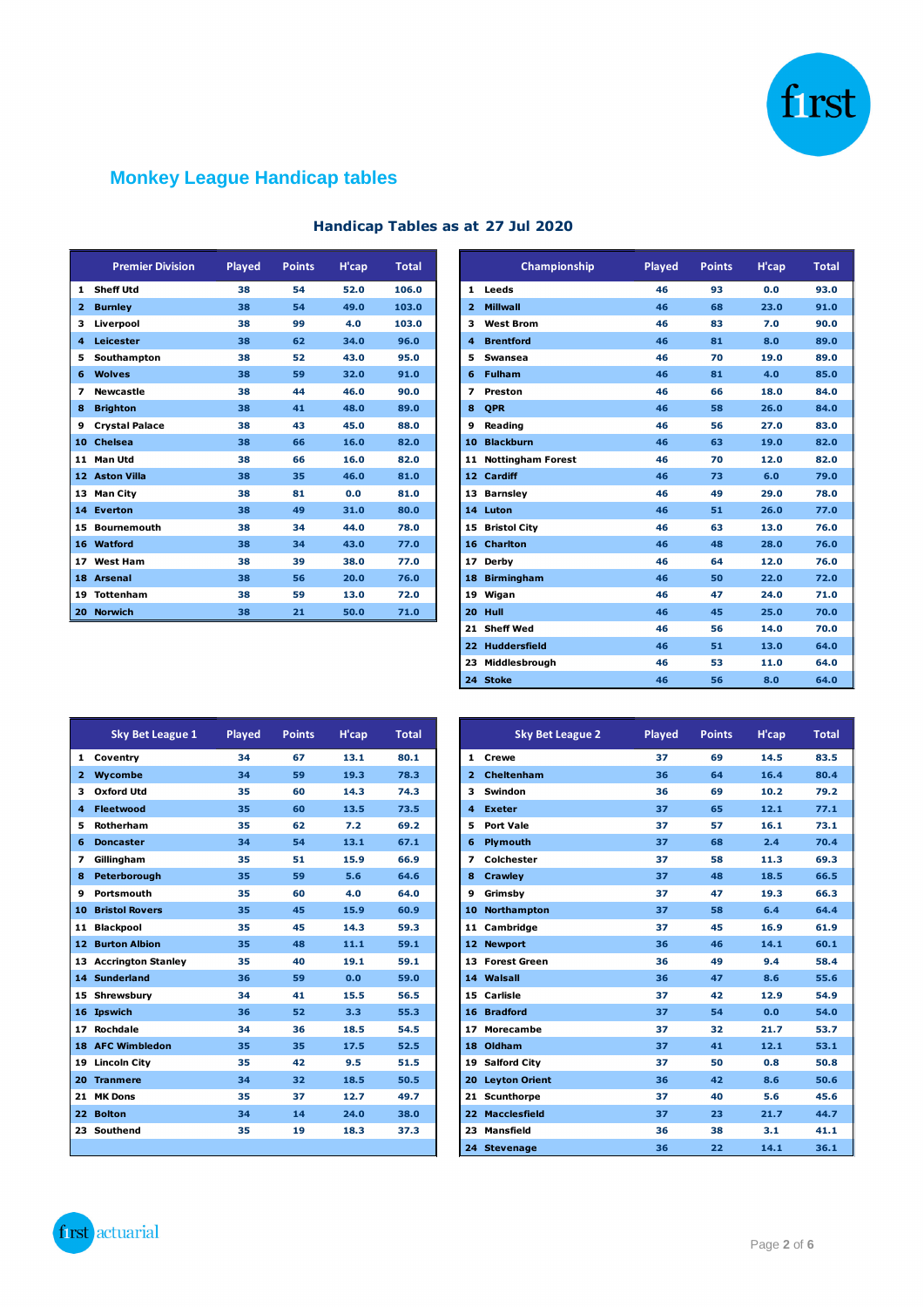

# **Monkey League Handicap tables**

|                | <b>Premier Division</b> | Played | <b>Points</b> | H'cap | <b>Total</b> |
|----------------|-------------------------|--------|---------------|-------|--------------|
| 1              | <b>Sheff Utd</b>        | 38     | 54            | 52.0  | 106.0        |
| $\overline{2}$ | <b>Burnley</b>          | 38     | 54            | 49.0  | 103.0        |
| 3              | Liverpool               | 38     | 99            | 4.0   | 103.0        |
| 4              | Leicester               | 38     | 62            | 34.0  | 96.0         |
| 5              | Southampton             | 38     | 52            | 43.0  | 95.0         |
| 6              | <b>Wolves</b>           | 38     | 59            | 32.0  | 91.0         |
| 7              | <b>Newcastle</b>        | 38     | 44            | 46.0  | 90.0         |
| 8              | <b>Brighton</b>         | 38     | 41            | 48.0  | 89.0         |
| 9              | <b>Crystal Palace</b>   | 38     | 43            | 45.0  | 88.0         |
| 10             | <b>Chelsea</b>          | 38     | 66            | 16.0  | 82.0         |
| 11             | <b>Man Utd</b>          | 38     | 66            | 16.0  | 82.0         |
|                | 12 Aston Villa          | 38     | 35            | 46.0  | 81.0         |
| 13             | <b>Man City</b>         | 38     | 81            | 0.0   | 81.0         |
| 14             | <b>Everton</b>          | 38     | 49            | 31.0  | 80.0         |
| 15             | <b>Bournemouth</b>      | 38     | 34            | 44.0  | 78.0         |
| 16             | <b>Watford</b>          | 38     | 34            | 43.0  | 77.0         |
| 17             | <b>West Ham</b>         | 38     | 39            | 38.0  | 77.0         |
| 18             | <b>Arsenal</b>          | 38     | 56            | 20.0  | 76.0         |
| 19             | <b>Tottenham</b>        | 38     | 59            | 13.0  | 72.0         |
| 20             | <b>Norwich</b>          | 38     | 21            | 50.0  | 71.0         |

## **Handicap Tables as at 27 Jul 2020**

| <b>Premier Division</b> | Played | <b>Points</b> | H'cap | <b>Total</b> |   | Championship         | Played | <b>Points</b> | H'cap |  |
|-------------------------|--------|---------------|-------|--------------|---|----------------------|--------|---------------|-------|--|
| 1 Sheff Utd             | 38     | 54            | 52.0  | 106.0        |   | 1 Leeds              | 46     | 93            | 0.0   |  |
| 2 Burnley               | 38     | 54            | 49.0  | 103.0        |   | 2 Millwall           | 46     | 68            | 23.0  |  |
| 3 Liverpool             | 38     | 99            | 4.0   | 103.0        |   | 3 West Brom          | 46     | 83            | 7.0   |  |
| 4 Leicester             | 38     | 62            | 34.0  | 96.0         |   | 4 Brentford          | 46     | 81            | 8.0   |  |
| 5 Southampton           | 38     | 52            | 43.0  | 95.0         |   | 5 Swansea            | 46     | 70            | 19.0  |  |
| 6 Wolves                | 38     | 59            | 32.0  | 91.0         |   | 6 Fulham             | 46     | 81            | 4.0   |  |
| 7 Newcastle             | 38     | 44            | 46.0  | 90.0         |   | 7 Preston            | 46     | 66            | 18.0  |  |
| 8 Brighton              | 38     | 41            | 48.0  | 89.0         | 8 | <b>OPR</b>           | 46     | 58            | 26.0  |  |
| 9 Crystal Palace        | 38     | 43            | 45.0  | 88.0         |   | 9 Reading            | 46     | 56            | 27.0  |  |
| 10 Chelsea              | 38     | 66            | 16.0  | 82.0         |   | 10 Blackburn         | 46     | 63            | 19.0  |  |
| 11 Man Utd              | 38     | 66            | 16.0  | 82.0         |   | 11 Nottingham Forest | 46     | 70            | 12.0  |  |
| 12 Aston Villa          | 38     | 35            | 46.0  | 81.0         |   | 12 Cardiff           | 46     | 73            | 6.0   |  |
| 13 Man City             | 38     | 81            | 0.0   | 81.0         |   | 13 Barnsley          | 46     | 49            | 29.0  |  |
| 14 Everton              | 38     | 49            | 31.0  | 80.0         |   | 14 Luton             | 46     | 51            | 26.0  |  |
| 15 Bournemouth          | 38     | 34            | 44.0  | 78.0         |   | 15 Bristol City      | 46     | 63            | 13.0  |  |
| 16 Watford              | 38     | 34            | 43.0  | 77.0         |   | 16 Charlton          | 46     | 48            | 28.0  |  |
| 17 West Ham             | 38     | 39            | 38.0  | 77.0         |   | 17 Derby             | 46     | 64            | 12.0  |  |
| 18 Arsenal              | 38     | 56            | 20.0  | 76.0         |   | 18 Birmingham        | 46     | 50            | 22.0  |  |
| 19 Tottenham            | 38     | 59            | 13.0  | 72.0         |   | 19 Wigan             | 46     | 47            | 24.0  |  |
| 20 Norwich              | 38     | 21            | 50.0  | 71.0         |   | 20 Hull              | 46     | 45            | 25.0  |  |
|                         |        |               |       |              |   | 21 Sheff Wed         | 46     | 56            | 14.0  |  |
|                         |        |               |       |              |   | 22 Huddersfield      | 46     | 51            | 13.0  |  |
|                         |        |               |       |              |   | 23 Middlesbrough     | 46     | 53            | 11.0  |  |
|                         |        |               |       |              |   | 24 Stoke             | 46     | 56            | 8.0   |  |

|                 | <b>Sky Bet League 1</b>   | <b>Played</b> | <b>Points</b> | H'cap | <b>Total</b> |
|-----------------|---------------------------|---------------|---------------|-------|--------------|
| 1               | Coventry                  | 34            | 67            | 13.1  | 80.1         |
| $\overline{2}$  | Wycombe                   | 34            | 59            | 19.3  | 78.3         |
| 3               | <b>Oxford Utd</b>         | 35            | 60            | 14.3  | 74.3         |
| 4               | <b>Fleetwood</b>          | 35            | 60            | 13.5  | 73.5         |
| 5               | Rotherham                 | 35            | 62            | 7.2   | 69.2         |
| 6               | <b>Doncaster</b>          | 34            | 54            | 13.1  | 67.1         |
| 7               | Gillingham                | 35            | 51            | 15.9  | 66.9         |
| 8               | Peterborough              | 35            | 59            | 5.6   | 64.6         |
| 9               | Portsmouth                | 35            | 60            | 4.0   | 64.0         |
| 10              | <b>Bristol Rovers</b>     | 35            | 45            | 15.9  | 60.9         |
| 11              | <b>Blackpool</b>          | 35            | 45            | 14.3  | 59.3         |
| 12 <sub>2</sub> | <b>Burton Albion</b>      | 35            | 48            | 11.1  | 59.1         |
| 13              | <b>Accrington Stanley</b> | 35            | 40            | 19.1  | 59.1         |
| 14              | <b>Sunderland</b>         | 36            | 59            | 0.0   | 59.0         |
| 15              | Shrewsbury                | 34            | 41            | 15.5  | 56.5         |
| 16              | <b>Ipswich</b>            | 36            | 52            | 3.3   | 55.3         |
| 17              | Rochdale                  | 34            | 36            | 18.5  | 54.5         |
| 18              | <b>AFC Wimbledon</b>      | 35            | 35            | 17.5  | 52.5         |
| 19              | <b>Lincoln City</b>       | 35            | 42            | 9.5   | 51.5         |
| 20              | <b>Tranmere</b>           | 34            | 32            | 18.5  | 50.5         |
| 21              | <b>MK Dons</b>            | 35            | 37            | 12.7  | 49.7         |
| 22              | <b>Bolton</b>             | 34            | 14            | 24.0  | 38.0         |
| 23              | Southend                  | 35            | 19            | 18.3  | 37.3         |
|                 |                           |               |               |       |              |

| <b>Sky Bet League 1</b>  | Played | <b>Points</b> | H'cap | <b>Total</b> |
|--------------------------|--------|---------------|-------|--------------|
| 1 Coventry               | 34     | 67            | 13.1  | 80.1         |
| 2 Wycombe                | 34     | 59            | 19.3  | 78.3         |
| 3 Oxford Utd             | 35     | 60            | 14.3  | 74.3         |
| 4 Fleetwood              | 35     | 60            | 13.5  | 73.5         |
| 5 Rotherham              | 35     | 62            | 7.2   | 69.2         |
| 6 Doncaster              | 34     | 54            | 13.1  | 67.1         |
| 7 Gillingham             | 35     | 51            | 15.9  | 66.9         |
| 8 Peterborough           | 35     | 59            | 5.6   | 64.6         |
| 9 Portsmouth             | 35     | 60            | 4.0   | 64.0         |
| <b>10 Bristol Rovers</b> | 35     | 45            | 15.9  | 60.9         |
| 11 Blackpool             | 35     | 45            | 14.3  | 59.3         |
| <b>12 Burton Albion</b>  | 35     | 48            | 11.1  | 59.1         |
| 13 Accrington Stanley    | 35     | 40            | 19.1  | 59.1         |
| <b>14 Sunderland</b>     | 36     | 59            | 0.0   | 59.0         |
| 15 Shrewsbury            | 34     | 41            | 15.5  | 56.5         |
| 16 Ipswich               | 36     | 52            | 3.3   | 55.3         |
| 17 Rochdale              | 34     | 36            | 18.5  | 54.5         |
| <b>18 AFC Wimbledon</b>  | 35     | 35            | 17.5  | 52.5         |
| 19 Lincoln City          | 35     | 42            | 9.5   | 51.5         |
| 20 Tranmere              | 34     | 32            | 18.5  | 50.5         |
| 21 MK Dons               | 35     | 37            | 12.7  | 49.7         |
| 22 Bolton                | 34     | 14            | 24.0  | 38.0         |
| 23 Southend              | 35     | 19            | 18.3  | 37.3         |
|                          |        |               |       |              |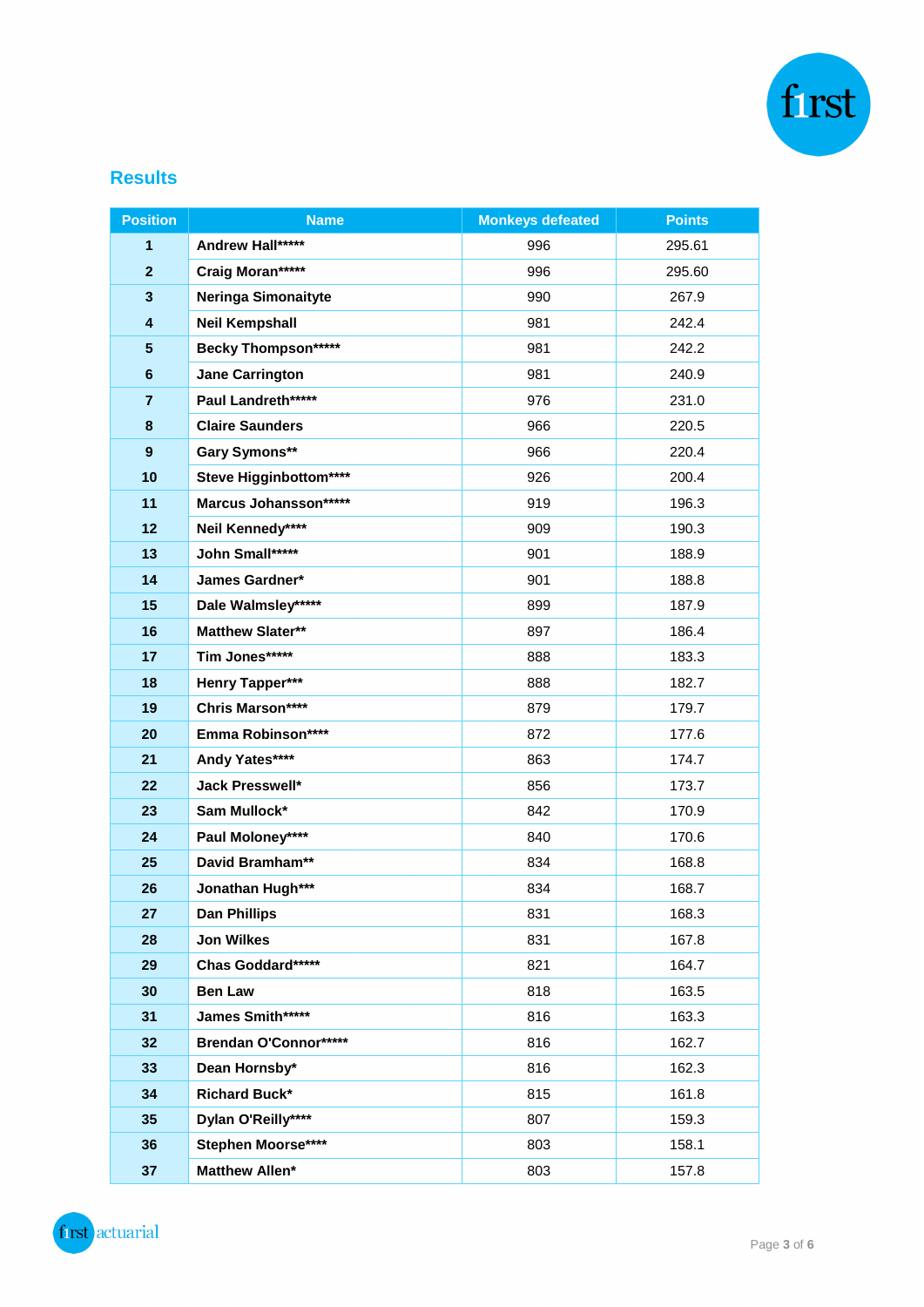

## **Results**

| <b>Position</b>         | <b>Name</b>                | <b>Monkeys defeated</b> | <b>Points</b> |
|-------------------------|----------------------------|-------------------------|---------------|
| 1                       | Andrew Hall*****           | 996                     | 295.61        |
| $\overline{2}$          | Craig Moran*****           | 996                     | 295.60        |
| $\overline{\mathbf{3}}$ | Neringa Simonaityte        | 990                     | 267.9         |
| 4                       | <b>Neil Kempshall</b>      | 981                     | 242.4         |
| 5                       | <b>Becky Thompson*****</b> | 981                     | 242.2         |
| $6\phantom{1}6$         | <b>Jane Carrington</b>     | 981                     | 240.9         |
| $\overline{7}$          | Paul Landreth*****         | 976                     | 231.0         |
| 8                       | <b>Claire Saunders</b>     | 966                     | 220.5         |
| $\boldsymbol{9}$        | Gary Symons**              | 966                     | 220.4         |
| 10                      | Steve Higginbottom****     | 926                     | 200.4         |
| 11                      | Marcus Johansson*****      | 919                     | 196.3         |
| 12                      | Neil Kennedy****           | 909                     | 190.3         |
| 13                      | John Small*****            | 901                     | 188.9         |
| 14                      | James Gardner*             | 901                     | 188.8         |
| 15                      | Dale Walmsley*****         | 899                     | 187.9         |
| 16                      | <b>Matthew Slater**</b>    | 897                     | 186.4         |
| 17                      | Tim Jones*****             | 888                     | 183.3         |
| 18                      | Henry Tapper***            | 888                     | 182.7         |
| 19                      | Chris Marson****           | 879                     | 179.7         |
| 20                      | Emma Robinson****          | 872                     | 177.6         |
| 21                      | Andy Yates****             | 863                     | 174.7         |
| 22                      | Jack Presswell*            | 856                     | 173.7         |
| 23                      | Sam Mullock*               | 842                     | 170.9         |
| 24                      | Paul Moloney****           | 840                     | 170.6         |
| 25                      | David Bramham**            | 834                     | 168.8         |
| 26                      | Jonathan Hugh***           | 834                     | 168.7         |
| 27                      | <b>Dan Phillips</b>        | 831                     | 168.3         |
| 28                      | <b>Jon Wilkes</b>          | 831                     | 167.8         |
| 29                      | Chas Goddard*****          | 821                     | 164.7         |
| 30                      | <b>Ben Law</b>             | 818                     | 163.5         |
| 31                      | James Smith*****           | 816                     | 163.3         |
| 32                      | Brendan O'Connor*****      | 816                     | 162.7         |
| 33                      | Dean Hornsby*              | 816                     | 162.3         |
| 34                      | <b>Richard Buck*</b>       | 815                     | 161.8         |
| 35                      | Dylan O'Reilly****         | 807                     | 159.3         |
| 36                      | <b>Stephen Moorse****</b>  | 803                     | 158.1         |
| 37                      | Matthew Allen*             | 803                     | 157.8         |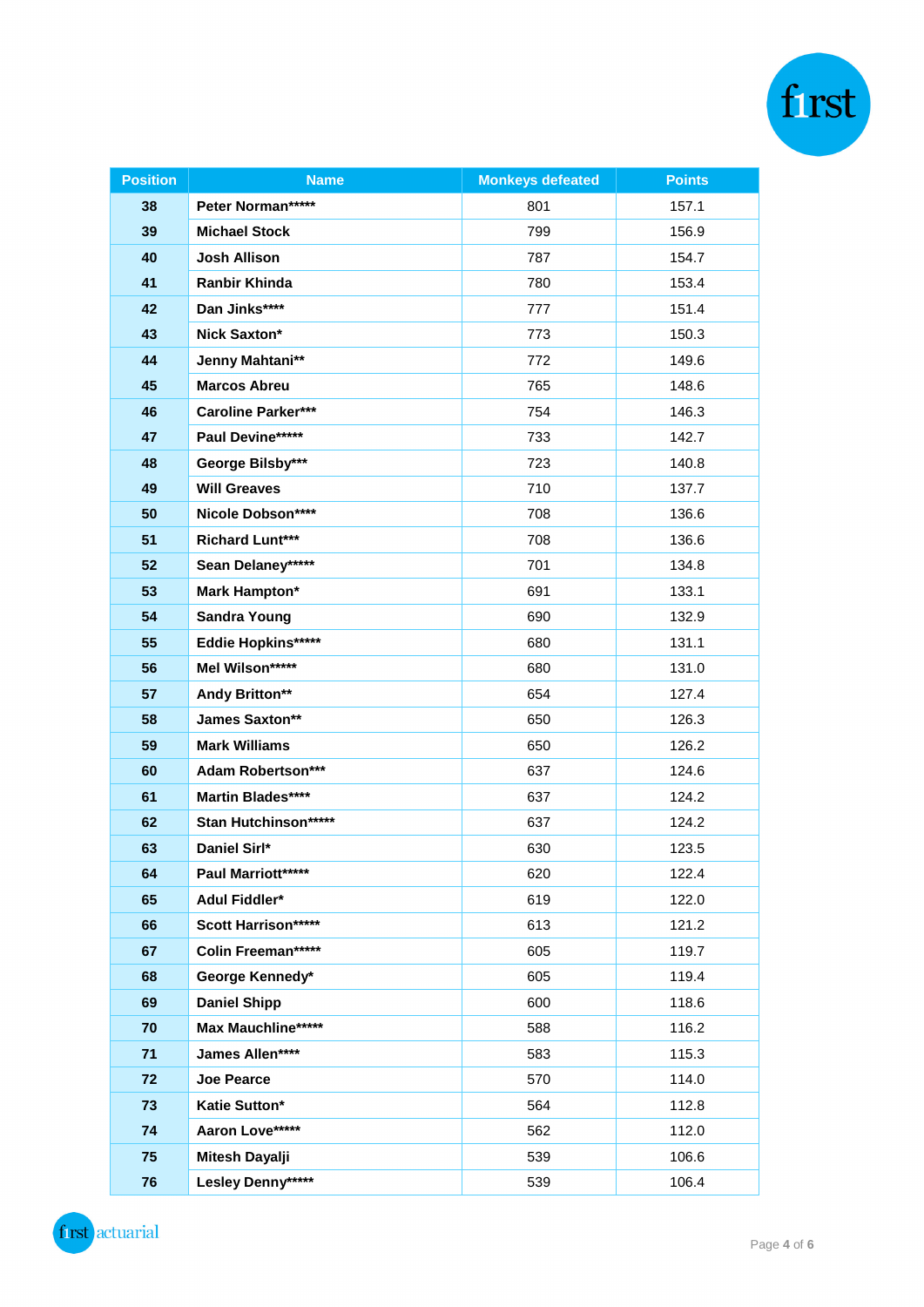| <b>Position</b> | <b>Name</b>               | <b>Monkeys defeated</b> | <b>Points</b> |
|-----------------|---------------------------|-------------------------|---------------|
| 38              | Peter Norman*****         | 801                     | 157.1         |
| 39              | <b>Michael Stock</b>      | 799                     | 156.9         |
| 40              | <b>Josh Allison</b>       | 787                     | 154.7         |
| 41              | <b>Ranbir Khinda</b>      | 780                     | 153.4         |
| 42              | Dan Jinks****             | 777                     | 151.4         |
| 43              | <b>Nick Saxton*</b>       | 773                     | 150.3         |
| 44              | Jenny Mahtani**           | 772                     | 149.6         |
| 45              | <b>Marcos Abreu</b>       | 765                     | 148.6         |
| 46              | <b>Caroline Parker***</b> | 754                     | 146.3         |
| 47              | Paul Devine*****          | 733                     | 142.7         |
| 48              | George Bilsby***          | 723                     | 140.8         |
| 49              | <b>Will Greaves</b>       | 710                     | 137.7         |
| 50              | Nicole Dobson****         | 708                     | 136.6         |
| 51              | <b>Richard Lunt***</b>    | 708                     | 136.6         |
| 52              | Sean Delaney*****         | 701                     | 134.8         |
| 53              | <b>Mark Hampton*</b>      | 691                     | 133.1         |
| 54              | <b>Sandra Young</b>       | 690                     | 132.9         |
| 55              | Eddie Hopkins*****        | 680                     | 131.1         |
| 56              | Mel Wilson*****           | 680                     | 131.0         |
| 57              | Andy Britton**            | 654                     | 127.4         |
| 58              | James Saxton**            | 650                     | 126.3         |
| 59              | <b>Mark Williams</b>      | 650                     | 126.2         |
| 60              | <b>Adam Robertson***</b>  | 637                     | 124.6         |
| 61              | Martin Blades****         | 637                     | 124.2         |
| 62              | Stan Hutchinson*****      | 637                     | 124.2         |
| 63              | Daniel Sirl*              | 630                     | 123.5         |
| 64              | Paul Marriott*****        | 620                     | 122.4         |
| 65              | Adul Fiddler*             | 619                     | 122.0         |
| 66              | Scott Harrison*****       | 613                     | 121.2         |
| 67              | Colin Freeman*****        | 605                     | 119.7         |
| 68              | George Kennedy*           | 605                     | 119.4         |
| 69              | <b>Daniel Shipp</b>       | 600                     | 118.6         |
| 70              | Max Mauchline*****        | 588                     | 116.2         |
| 71              | James Allen****           | 583                     | 115.3         |
| 72              | Joe Pearce                | 570                     | 114.0         |
| 73              | Katie Sutton*             | 564                     | 112.8         |
| 74              | Aaron Love*****           | 562                     | 112.0         |
| 75              | Mitesh Dayalji            | 539                     | 106.6         |
| 76              | Lesley Denny*****         | 539                     | 106.4         |

first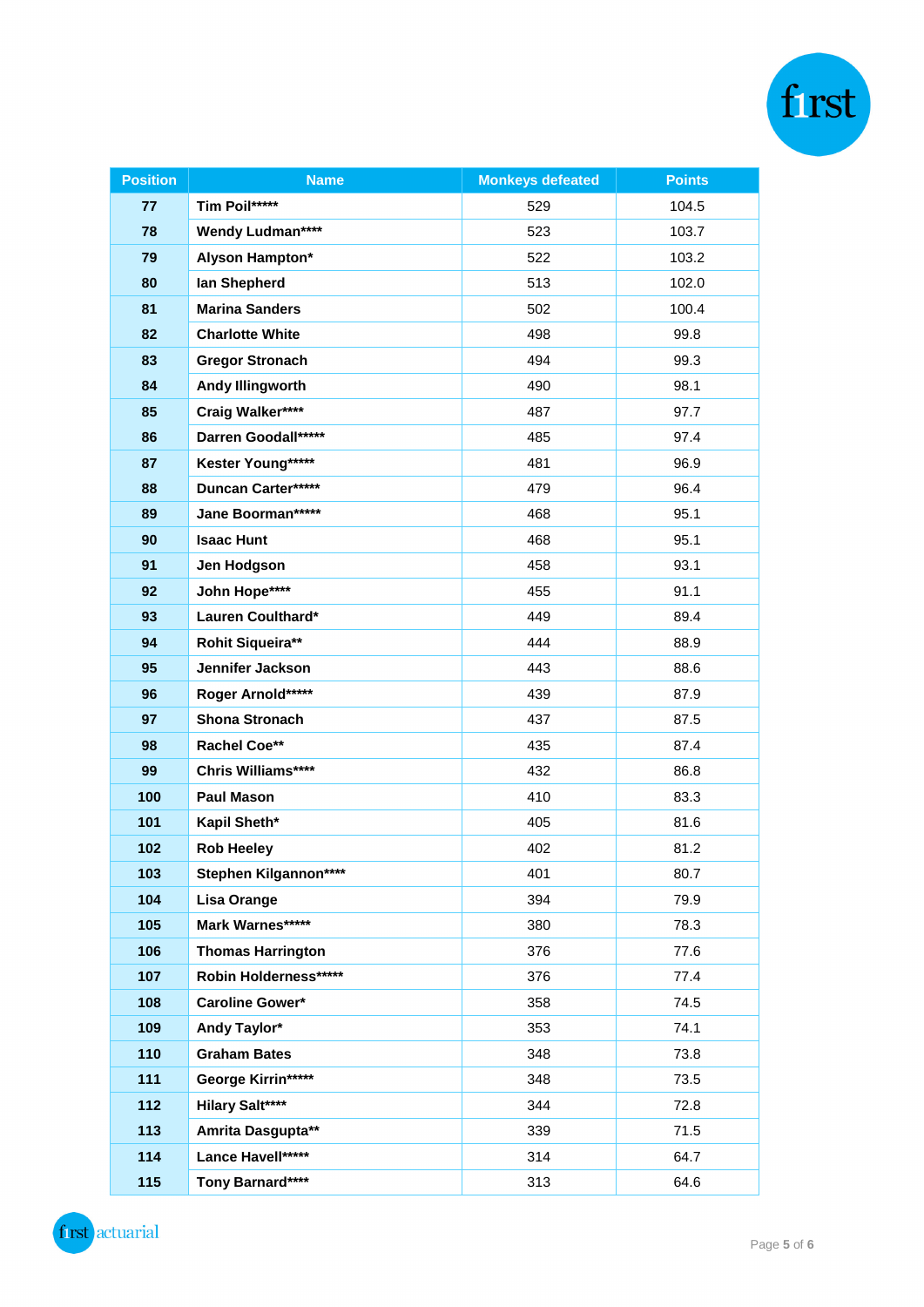| <b>Position</b> | <b>Name</b>               | <b>Monkeys defeated</b> | <b>Points</b> |
|-----------------|---------------------------|-------------------------|---------------|
| 77              | Tim Poil*****             | 529                     | 104.5         |
| 78              | <b>Wendy Ludman****</b>   | 523                     | 103.7         |
| 79              | Alyson Hampton*           | 522                     | 103.2         |
| 80              | lan Shepherd              | 513                     | 102.0         |
| 81              | <b>Marina Sanders</b>     | 502                     | 100.4         |
| 82              | <b>Charlotte White</b>    | 498                     | 99.8          |
| 83              | <b>Gregor Stronach</b>    | 494                     | 99.3          |
| 84              | <b>Andy Illingworth</b>   | 490                     | 98.1          |
| 85              | Craig Walker****          | 487                     | 97.7          |
| 86              | Darren Goodall*****       | 485                     | 97.4          |
| 87              | Kester Young*****         | 481                     | 96.9          |
| 88              | <b>Duncan Carter*****</b> | 479                     | 96.4          |
| 89              | Jane Boorman*****         | 468                     | 95.1          |
| 90              | <b>Isaac Hunt</b>         | 468                     | 95.1          |
| 91              | Jen Hodgson               | 458                     | 93.1          |
| 92              | John Hope****             | 455                     | 91.1          |
| 93              | Lauren Coulthard*         | 449                     | 89.4          |
| 94              | Rohit Siqueira**          | 444                     | 88.9          |
| 95              | Jennifer Jackson          | 443                     | 88.6          |
| 96              | Roger Arnold*****         | 439                     | 87.9          |
| 97              | <b>Shona Stronach</b>     | 437                     | 87.5          |
| 98              | <b>Rachel Coe**</b>       | 435                     | 87.4          |
| 99              | Chris Williams****        | 432                     | 86.8          |
| 100             | <b>Paul Mason</b>         | 410                     | 83.3          |
| 101             | Kapil Sheth*              | 405                     | 81.6          |
| 102             | <b>Rob Heeley</b>         | 402                     | 81.2          |
| 103             | Stephen Kilgannon****     | 401                     | 80.7          |
| 104             | Lisa Orange               | 394                     | 79.9          |
| 105             | Mark Warnes*****          | 380                     | 78.3          |
| 106             | <b>Thomas Harrington</b>  | 376                     | 77.6          |
| 107             | Robin Holderness*****     | 376                     | 77.4          |
| 108             | <b>Caroline Gower*</b>    | 358                     | 74.5          |
| 109             | Andy Taylor*              | 353                     | 74.1          |
| 110             | <b>Graham Bates</b>       | 348                     | 73.8          |
| 111             | George Kirrin*****        | 348                     | 73.5          |
| 112             | <b>Hilary Salt****</b>    | 344                     | 72.8          |
| 113             | Amrita Dasgupta**         | 339                     | 71.5          |
| 114             | Lance Havell*****         | 314                     | 64.7          |
| 115             | Tony Barnard****          | 313                     | 64.6          |

first